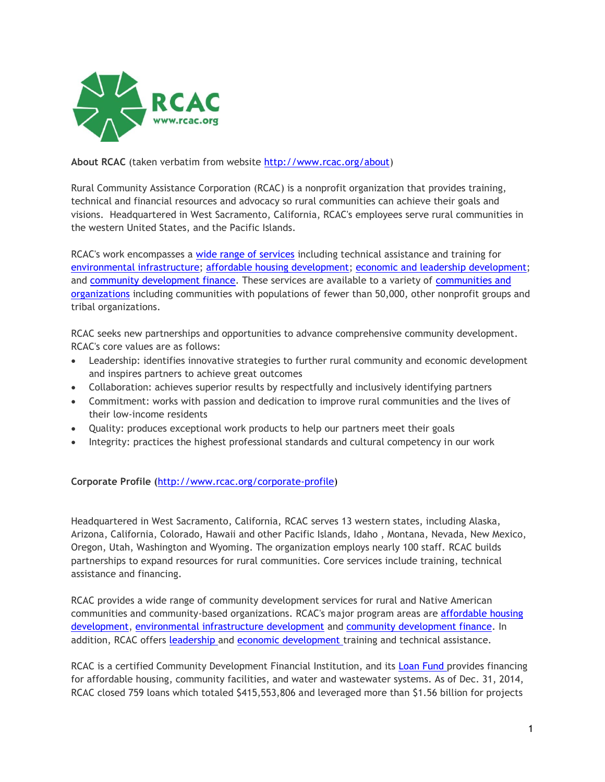

## **About RCAC** (taken verbatim from website [http://www.rcac.org/about\)](http://www.rcac.org/about)

Rural Community Assistance Corporation (RCAC) is a nonprofit organization that provides training, technical and financial resources and advocacy so rural communities can achieve their goals and visions. Headquartered in West Sacramento, California, RCAC's employees serve rural communities in the western United States, and the Pacific Islands.

RCAC's work encompasses a [wide range of services](http://www.rcac.org/programs-and-services) including technical assistance and training for [environmental infrastructure;](http://www.rcac.org/doc.aspx?81) [affordable housing development;](http://www.rcac.org/housing-and-community) [economic and leadership development;](http://www.rcac.org/pages/84) and [community development finance.](http://www.rcac.org/pages/82) These services are available to a variety of [communities and](http://www.rcac.org/who-we-serve)  [organizations](http://www.rcac.org/who-we-serve) including communities with populations of fewer than 50,000, other nonprofit groups and tribal organizations.

RCAC seeks new partnerships and opportunities to advance comprehensive community development. RCAC's core values are as follows:

- Leadership: identifies innovative strategies to further rural community and economic development and inspires partners to achieve great outcomes
- Collaboration: achieves superior results by respectfully and inclusively identifying partners
- Commitment: works with passion and dedication to improve rural communities and the lives of their low-income residents
- Quality: produces exceptional work products to help our partners meet their goals
- Integrity: practices the highest professional standards and cultural competency in our work

### **Corporate Profile (**[http://www.rcac.org/corporate-profile\)](http://www.rcac.org/corporate-profile)

Headquartered in West Sacramento, California, RCAC serves 13 western states, including Alaska, Arizona, California, Colorado, Hawaii and other Pacific Islands, Idaho , Montana, Nevada, New Mexico, Oregon, Utah, Washington and Wyoming. The organization employs nearly 100 staff. RCAC builds partnerships to expand resources for rural communities. Core services include training, technical assistance and financing.

RCAC provides a wide range of community development services for rural and Native American communities and community-based organizations. RCAC's major program areas are [affordable housing](http://www.rcac.org/doc.aspx?80)  [development,](http://www.rcac.org/doc.aspx?80) [environmental infrastructure development](http://www.rcac.org/doc.aspx?81) and [community development finance.](http://www.rcac.org/doc.aspx?82) In addition, RCAC offers [leadership a](http://www.rcac.org/doc.aspx?140)nd [economic development t](http://www.rcac.org/doc.aspx?142)raining and technical assistance.

RCAC is a certified Community Development Financial Institution, and its [Loan Fund p](http://www.rcac.org/pages/82)rovides financing for affordable housing, community facilities, and water and wastewater systems. As of Dec. 31, 2014, RCAC closed 759 loans which totaled \$415,553,806 and leveraged more than \$1.56 billion for projects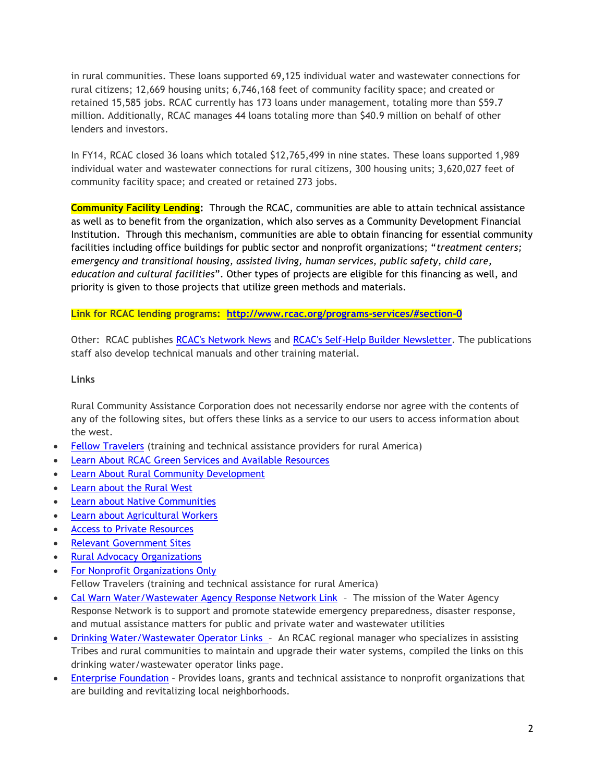in rural communities. These loans supported 69,125 individual water and wastewater connections for rural citizens; 12,669 housing units; 6,746,168 feet of community facility space; and created or retained 15,585 jobs. RCAC currently has 173 loans under management, totaling more than \$59.7 million. Additionally, RCAC manages 44 loans totaling more than \$40.9 million on behalf of other lenders and investors.

In FY14, RCAC closed 36 loans which totaled \$12,765,499 in nine states. These loans supported 1,989 individual water and wastewater connections for rural citizens, 300 housing units; 3,620,027 feet of community facility space; and created or retained 273 jobs.

**Community Facility Lending:**Through the RCAC, communities are able to attain technical assistance as well as to benefit from the organization, which also serves as a Community Development Financial Institution. Through this mechanism, communities are able to obtain financing for essential community facilities including office buildings for public sector and nonprofit organizations; "*treatment centers; emergency and transitional housing, assisted living, human services, public safety, child care, education and cultural facilities*". Other types of projects are eligible for this financing as well, and priority is given to those projects that utilize green methods and materials.

**Link for RCAC lending programs: <http://www.rcac.org/programs-services/#section-0>**

Other: RCAC publishes [RCAC's Network News](http://www.rcac.org/pubarchive.aspx?id=9) and [RCAC's Self-Help Builder Newsletter.](http://www.rcac.org/doc.aspx?376) The publications staff also develop technical manuals and other training material.

#### **Links**

Rural Community Assistance Corporation does not necessarily endorse nor agree with the contents of any of the following sites, but offers these links as a service to our users to access information about the west.

- [Fellow Travelers](http://www.rcac.org/pages/214#Fellow) (training and technical assistance providers for rural America)
- [Learn About RCAC Green Services and Available Resources](http://www.rcac.org/pages/214#Green)
- [Learn About Rural Community Development](http://www.rcac.org/pages/214#Learn)
- [Learn about the Rural West](http://www.rcac.org/pages/214#Rural)
- [Learn about Native Communities](http://www.rcac.org/pages/214#Native)
- [Learn about Agricultural Workers](http://www.rcac.org/pages/214#Agricultural)
- [Access to Private Resources](http://www.rcac.org/pages/214#Access)
- [Relevant Government Sites](http://www.rcac.org/pages/214#Government)
- [Rural Advocacy Organizations](http://www.rcac.org/pages/214#Advocacy)
- [For Nonprofit Organizations Only](http://www.rcac.org/pages/214#Nonprofits) Fellow Travelers (training and technical assistance for rural America)
- [Cal Warn Water/Wastewater Agency Response Network Link](http://calwarn.org/) The mission of the Water Agency Response Network is to support and promote statewide emergency preparedness, disaster response, and mutual assistance matters for public and private water and wastewater utilities
- [Drinking Water/Wastewater Operator Links](http://www.rcac.org/doc.aspx?122) An RCAC regional manager who specializes in assisting Tribes and rural communities to maintain and upgrade their water systems, compiled the links on this drinking water/wastewater operator links page.
- **[Enterprise Foundation](http://www.enterprisefoundation.org/)** Provides loans, grants and technical assistance to nonprofit organizations that are building and revitalizing local neighborhoods.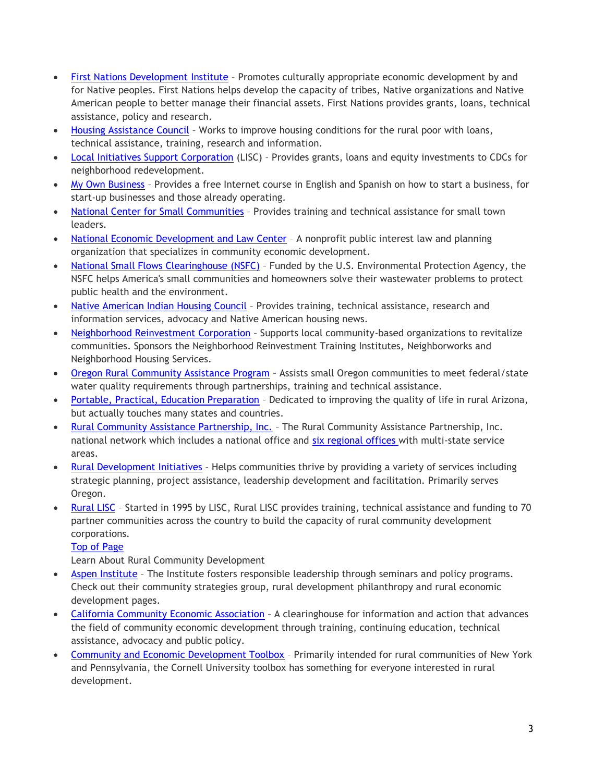- [First Nations Development Institute](http://www.firstnations.org/) Promotes culturally appropriate economic development by and for Native peoples. First Nations helps develop the capacity of tribes, Native organizations and Native American people to better manage their financial assets. First Nations provides grants, loans, technical assistance, policy and research.
- [Housing Assistance Council](http://www.ruralhome.org/) Works to improve housing conditions for the rural poor with loans, technical assistance, training, research and information.
- [Local Initiatives Support Corporation](http://www.liscnet.org/) (LISC) Provides grants, loans and equity investments to CDCs for neighborhood redevelopment.
- [My Own Business](http://www.myownbusiness.org/) Provides a free Internet course in English and Spanish on how to start a business, for start-up businesses and those already operating.
- [National Center for Small Communities](http://www.natat.org/) Provides training and technical assistance for small town leaders.
- [National Economic Development and Law Center](http://www.nedlc.org/) A nonprofit public interest law and planning organization that specializes in community economic development.
- [National Small Flows Clearinghouse \(NSFC\)](http://www.nesc.wvu.edu/nsfc/nsfc_index.htm) Funded by the U.S. Environmental Protection Agency, the NSFC helps America's small communities and homeowners solve their wastewater problems to protect public health and the environment.
- [Native American Indian Housing Council](http://www.naihc.net/) Provides training, technical assistance, research and information services, advocacy and Native American housing news.
- [Neighborhood Reinvestment Corporation](http://www.nw.org/) Supports local community-based organizations to revitalize communities. Sponsors the Neighborhood Reinvestment Training Institutes, Neighborworks and Neighborhood Housing Services.
- [Oregon Rural Community Assistance Program](http://www.rcac.org/oregon) Assists small Oregon communities to meet federal/state water quality requirements through partnerships, training and technical assistance.
- [Portable, Practical, Education Preparation](http://www.ppep.org/) Dedicated to improving the quality of life in rural Arizona, but actually touches many states and countries.
- [Rural Community Assistance Partnership, Inc.](http://www.rcap.org/) The Rural Community Assistance Partnership, Inc. national network which includes a national office and [six regional offices w](http://www.rcac.org/pages/336)ith multi-state service areas.
- [Rural Development Initiatives](http://www.rdiinc.org/) Helps communities thrive by providing a variety of services including strategic planning, project assistance, leadership development and facilitation. Primarily serves Oregon.
- [Rural LISC](http://www.lisc.org/rural_lisc/) Started in 1995 by LISC, Rural LISC provides training, technical assistance and funding to 70 partner communities across the country to build the capacity of rural community development corporations.

Learn About Rural Community Development

- [Aspen Institute](http://www.aspeninstitute.org/cst) The Institute fosters responsible leadership through seminars and policy programs. Check out their community strategies group, rural development philanthropy and rural economic development pages.
- [California Community Economic Association](http://www.cceda.org/) A clearinghouse for information and action that advances the field of community economic development through training, continuing education, technical assistance, advocacy and public policy.
- [Community and Economic Development Toolbox](http://www.cdtoolbox.org/) Primarily intended for rural communities of New York and Pennsylvania, the Cornell University toolbox has something for everyone interested in rural development.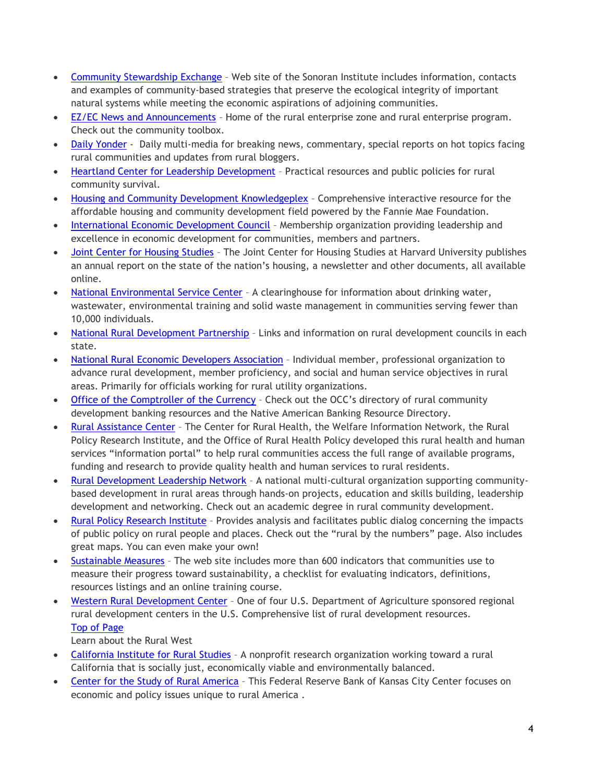- [Community Stewardship Exchange](http://www.sonoran.org/) Web site of the Sonoran Institute includes information, contacts and examples of community-based strategies that preserve the ecological integrity of important natural systems while meeting the economic aspirations of adjoining communities.
- [EZ/EC News and Announcements](http://www.ezec.gov/) Home of the rural enterprise zone and rural enterprise program. Check out the community toolbox.
- [Daily Yonder](http://www.dailyyonder.com/) Daily multi-media for breaking news, commentary, special reports on hot topics facing rural communities and updates from rural bloggers.
- [Heartland Center for Leadership Development](http://www.heartlandcenter.info/) Practical resources and public policies for rural community survival.
- [Housing and Community Development Knowledgeplex](http://www.knowledgeplex.org/) Comprehensive interactive resource for the affordable housing and community development field powered by the Fannie Mae Foundation.
- [International Economic Development Council](http://www.iedconline.org/) Membership organization providing leadership and excellence in economic development for communities, members and partners.
- [Joint Center for Housing Studies](http://www.jchs.harvard.edu/) The Joint Center for Housing Studies at Harvard University publishes an annual report on the state of the nation's housing, a newsletter and other documents, all available online.
- [National Environmental Service Center](http://www.nesc.wvu.edu/) A clearinghouse for information about drinking water, wastewater, environmental training and solid waste management in communities serving fewer than 10,000 individuals.
- National Rural [Development Partnership](http://www.rurdev.usda.gov/AboutRD.html) Links and information on rural development councils in each state.
- [National Rural Economic Developers Association](http://www.nreda.org/) Individual member, professional organization to advance rural development, member proficiency, and social and human service objectives in rural areas. Primarily for officials working for rural utility organizations.
- [Office of the Comptroller of the Currency](http://www.occ.treas.gov/cdd/rural.htm) Check out the OCC's directory of rural community development banking resources and the Native American Banking Resource Directory.
- [Rural Assistance Center](http://www.raconline.org/) The Center for Rural Health, the Welfare Information Network, the Rural Policy Research Institute, and the Office of Rural Health Policy developed this rural health and human services "information portal" to help rural communities access the full range of available programs, funding and research to provide quality health and human services to rural residents.
- [Rural Development Leadership Network](http://www.ruraldevelopment.org/) A national multi-cultural organization supporting communitybased development in rural areas through hands-on projects, education and skills building, leadership development and networking. Check out an academic degree in rural community development.
- [Rural Policy Research Institute](http://rupri.org/) Provides analysis and facilitates public dialog concerning the impacts of public policy on rural people and places. Check out the "rural by the numbers" page. Also includes great maps. You can even make your own!
- [Sustainable Measures](http://www.sustainablemeasures.com/) The web site includes more than 600 indicators that communities use to measure their progress toward sustainability, a checklist for evaluating indicators, definitions, resources listings and an online training course.
- [Western Rural Development Center](http://extension.usu.edu/wrdc) One of four U.S. Department of Agriculture sponsored regional rural development centers in the U.S. Comprehensive list of rural development resources. [Top of Page](http://www.rcac.org/pages/214#top)

Learn about the Rural West

- [California Institute for Rural Studies](http://www.cirsinc.org/) A nonprofit research organization working toward a rural California that is socially just, economically viable and environmentally balanced.
- [Center for the Study of Rural America](http://www.kc.frb.org/) This Federal Reserve Bank of Kansas City Center focuses on economic and policy issues unique to rural America .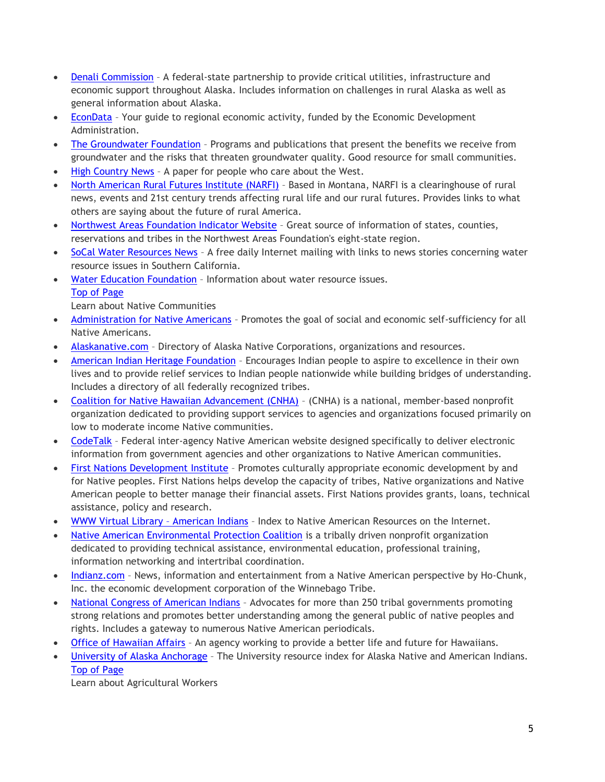- [Denali Commission](http://www.denali.gov/) A federal-state partnership to provide critical utilities, infrastructure and economic support throughout Alaska. Includes information on challenges in rural Alaska as well as general information about Alaska.
- [EconData](http://www.econdata.net/) Your guide to regional economic activity, funded by the Economic Development Administration.
- [The Groundwater Foundation](http://www.groundwater.org/) Programs and publications that present the benefits we receive from groundwater and the risks that threaten groundwater quality. Good resource for small communities.
- High [Country News](http://www.hcn.org/) A paper for people who care about the West.
- [North American Rural Futures Institute \(NARFI\)](http://www.narfi.org/) Based in Montana, NARFI is a clearinghouse of rural news, events and 21st century trends affecting rural life and our rural futures. Provides links to what others are saying about the future of rural America.
- [Northwest Areas Foundation Indicator Website](http://www.nwaf.org/Home.aspx) Great source of information of states, counties, reservations and tribes in the Northwest Areas Foundation's eight-state region.
- [SoCal Water Resources News](http://www.bcwaternews.com/) A free daily Internet mailing with links to news stories concerning water resource issues in Southern California.
- [Water Education Foundation](http://www.water-ed.org/) Information about water resource issues. [Top of Page](http://www.rcac.org/pages/214#top)

Learn about Native Communities

- [Administration for Native Americans](http://www.acf.hhs.gov/programs/ana/) Promotes the goal of social and economic self-sufficiency for all Native Americans.
- [Alaskanative.com](http://www.alaskanative.com/) Directory of Alaska Native Corporations, organizations and resources.
- [American Indian Heritage Foundation](http://www.indians.org/) Encourages Indian people to aspire to excellence in their own lives and to provide relief services to Indian people nationwide while building bridges of understanding. Includes a directory of all federally recognized tribes.
- [Coalition for Native Hawaiian Advancement \(CNHA\)](http://www.hawaiiancouncil.org/) (CNHA) is a national, member-based nonprofit organization dedicated to providing support services to agencies and organizations focused primarily on low to moderate income Native communities.
- [CodeTalk](http://portal.hud.gov/hudportal/HUD?src=/program_offices/public_indian_housing/ih) Federal inter-agency Native American website designed specifically to deliver electronic information from government agencies and other organizations to Native American communities.
- [First Nations Development Institute](http://www.firstnations.org/) Promotes culturally appropriate economic development by and for Native peoples. First Nations helps develop the capacity of tribes, Native organizations and Native American people to better manage their financial assets. First Nations provides grants, loans, technical assistance, policy and research.
- [WWW Virtual Library](http://www.hanksville.org/NAresources/)  American Indians Index to Native American Resources on the Internet.
- [Native American Environmental Protection Coalition](http://naepc.com/site1/) is a tribally driven nonprofit organization dedicated to providing technical assistance, environmental education, professional training, information networking and intertribal coordination.
- [Indianz.com](http://www.indianz.com/) News, information and entertainment from a Native American perspective by Ho-Chunk, Inc. the economic development corporation of the Winnebago Tribe.
- [National Congress of American Indians](http://www.ncai.org/) Advocates for more than 250 tribal governments promoting strong relations and promotes better understanding among the general public of native peoples and rights. Includes a gateway to numerous Native American periodicals.
- [Office of Hawaiian Affairs](http://www.oha.org/) An agency working to provide a better life and future for Hawaiians.
- [University of Alaska Anchorage](http://www.uaa.alaska.edu/just/rlinks/natives/index.html) The University resource index for Alaska Native and American Indians. [Top of Page](http://www.rcac.org/pages/214#top)

Learn about Agricultural Workers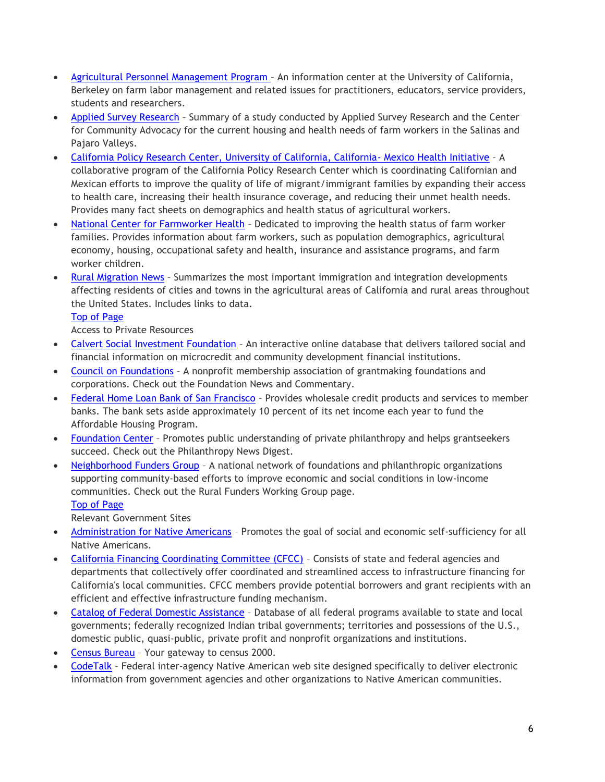- [Agricultural Personnel Management Program](http://www.agpersonnel.org/)  An information center at the University of California, Berkeley on farm labor management and related issues for practitioners, educators, service providers, students and researchers.
- [Applied Survey Research](http://www.appliedsurveyresearch.org/products/FarmworkerExecSummary.pdf) Summary of a study conducted by Applied Survey Research and the Center for Community Advocacy for the current housing and health needs of farm workers in the Salinas and Pajaro Valleys.
- [California Policy Research Center, University of California, California-](http://www.calendow.org/uploadedFiles/ca_mexico_health_intiative.pdf) Mexico Health Initiative A collaborative program of the California Policy Research Center which is coordinating Californian and Mexican efforts to improve the quality of life of migrant/immigrant families by expanding their access to health care, increasing their health insurance coverage, and reducing their unmet health needs. Provides many fact sheets on demographics and health status of agricultural workers.
- [National Center for Farmworker Health](http://www.ncfh.org/) Dedicated to improving the health status of farm worker families. Provides information about farm workers, such as population demographics, agricultural economy, housing, occupational safety and health, insurance and assistance programs, and farm worker children.
- [Rural Migration News](http://migration.ucdavis.edu/rmn) Summarizes the most important immigration and integration developments affecting residents of cities and towns in the agricultural areas of California and rural areas throughout the United States. Includes links to data.

Access to Private Resources

- [Calvert Social Investment Foundation](http://www.calvertfoundation.org/) An interactive online database that delivers tailored social and financial information on microcredit and community development financial institutions.
- [Council on Foundations](http://www.cof.org/) A nonprofit membership association of grantmaking foundations and corporations. Check out the Foundation News and Commentary.
- [Federal Home Loan Bank of San Francisco](http://www.fhlbsf.com/) Provides wholesale credit products and services to member banks. The bank sets aside approximately 10 percent of its net income each year to fund the Affordable Housing Program.
- [Foundation Center](http://www.fdncenter.org/) Promotes public understanding of private philanthropy and helps grantseekers succeed. Check out the Philanthropy News Digest.
- [Neighborhood Funders Group](http://www.nfg.org/) A national network of foundations and philanthropic organizations supporting community-based efforts to improve economic and social conditions in low-income communities. Check out the Rural Funders Working Group page. [Top of Page](http://www.rcac.org/pages/214#top)

Relevant Government Sites

- [Administration for Native Americans](http://www.acf.hhs.gov/programs/ana/) Promotes the goal of social and economic self-sufficiency for all Native Americans.
- [California Financing Coordinating Committee \(CFCC\)](http://www.cfcc.ca.gov/) Consists of state and federal agencies and departments that collectively offer coordinated and streamlined access to infrastructure financing for California's local communities. CFCC members provide potential borrowers and grant recipients with an efficient and effective infrastructure funding mechanism.
- [Catalog of Federal Domestic Assistance](http://www.cfda.gov/) Database of all federal programs available to state and local governments; federally recognized Indian tribal governments; territories and possessions of the U.S., domestic public, quasi-public, private profit and nonprofit organizations and institutions.
- [Census Bureau](http://www.census.gov/) Your gateway to census 2000.
- [CodeTalk](http://portal.hud.gov/hudportal/HUD?src=/program_offices/public_indian_housing/ih) Federal inter-agency Native American web site designed specifically to deliver electronic information from government agencies and other organizations to Native American communities.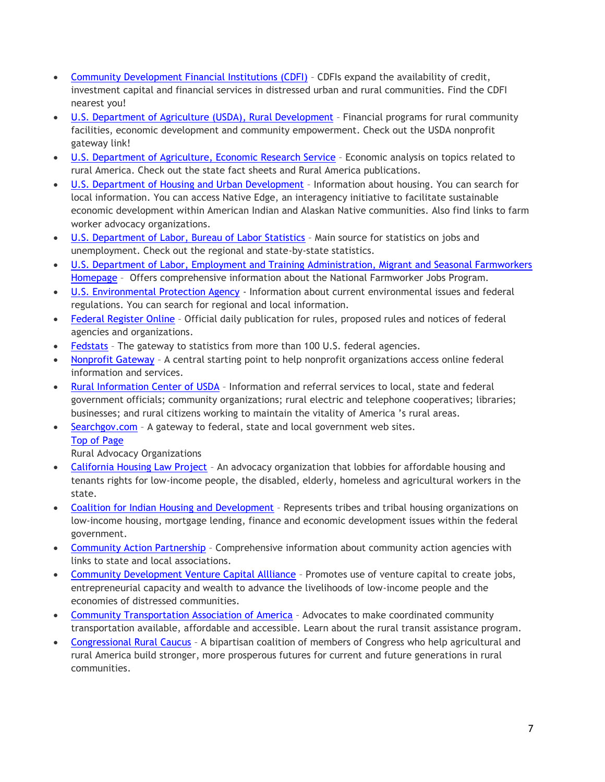- [Community Development Financial Institutions \(CDFI\)](http://www.cdfifund.gov/) CDFIs expand the availability of credit, investment capital and financial services in distressed urban and rural communities. Find the CDFI nearest you!
- [U.S. Department of Agriculture \(USDA\), Rural Development](http://www.rurdev.usda.gov/) Financial programs for rural community facilities, economic development and community empowerment. Check out the USDA nonprofit gateway link!
- [U.S. Department of Agriculture, Economic Research Service](http://www.ers.usda.gov/) Economic analysis on topics related to rural America. Check out the state fact sheets and Rural America publications.
- [U.S. Department of Housing and Urban Development](http://www.hud.gov/) Information about housing. You can search for local information. You can access Native Edge, an interagency initiative to facilitate sustainable economic development within American Indian and Alaskan Native communities. Also find links to farm worker advocacy organizations.
- [U.S. Department of Labor, Bureau of Labor Statistics](http://www.bls.gov/) Main source for statistics on jobs and unemployment. Check out the regional and state-by-state statistics.
- [U.S. Department of Labor, Employment and Training Administration, Migrant and Seasonal Farmworkers](http://www.dol.gov/dol/topic/training/migrantfarmworkers.htm)  [Homepage](http://www.dol.gov/dol/topic/training/migrantfarmworkers.htm) – Offers comprehensive information about the National Farmworker Jobs Program.
- [U.S. Environmental Protection Agency](http://www.epa.gov/) Information about current environmental issues and federal regulations. You can search for regional and local information.
- [Federal Register Online](http://www.access.gpo.gov/su_docs/aces/aces140.html) Official daily publication for rules, proposed rules and notices of federal agencies and organizations.
- [Fedstats](http://www.fedstats.gov/) The gateway to statistics from more than 100 U.S. federal agencies.
- [Nonprofit Gateway](http://www.nonprofit.gov/) A central starting point to help nonprofit organizations access online federal information and services.
- [Rural Information Center of USDA](http://www.nal.usda.gov/ric) Information and referral services to local, state and federal government officials; community organizations; rural electric and telephone cooperatives; libraries; businesses; and rural citizens working to maintain the vitality of America 's rural areas.
- [Searchgov.com](http://www.searchgov.com/) A gateway to federal, state and local government web sites.

Rural Advocacy Organizations

- [California Housing Law Project](http://www.housingadvocates.org/) An advocacy organization that lobbies for affordable housing and tenants rights for low-income people, the disabled, elderly, homeless and agricultural workers in the state.
- [Coalition for Indian Housing and Development](http://www.cnhed.org/) Represents tribes and tribal housing organizations on low-income housing, mortgage lending, finance and economic development issues within the federal government.
- [Community Action Partnership](http://www.communityactionpartnership.com/) Comprehensive information about community action agencies with links to state and local associations.
- [Community Development Venture Capital Allliance](http://www.cdvca.org/) Promotes use of venture capital to create jobs, entrepreneurial capacity and wealth to advance the livelihoods of low-income people and the economies of distressed communities.
- [Community Transportation Association of America](http://www.ctaa.org/) Advocates to make coordinated community transportation available, affordable and accessible. Learn about the rural transit assistance program.
- [Congressional Rural Caucus](http://ruralcaucus-adriansmith.house.gov/) A bipartisan coalition of members of Congress who help agricultural and rural America build stronger, more prosperous futures for current and future generations in rural communities.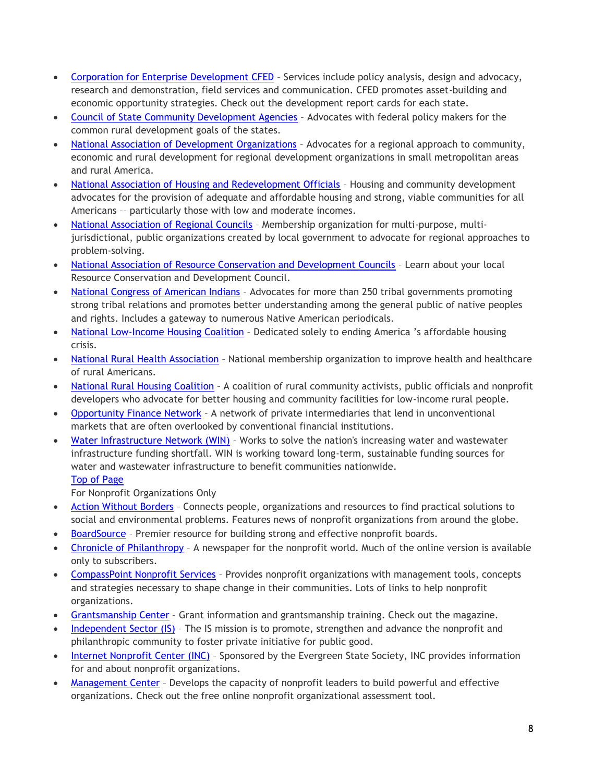- [Corporation for Enterprise Development CFED](http://www.cfed.org/) Services include policy analysis, design and advocacy, research and demonstration, field services and communication. CFED promotes asset-building and economic opportunity strategies. Check out the development report cards for each state.
- [Council of State Community Development Agencies](http://www.coscda.org/) Advocates with federal policy makers for the common rural development goals of the states.
- [National Association of Development Organizations](http://www.nado.org/) Advocates for a regional approach to community, economic and rural development for regional development organizations in small metropolitan areas and rural America.
- [National Association of Housing and Redevelopment Officials](http://www.nahro.org/) Housing and community development advocates for the provision of adequate and affordable housing and strong, viable communities for all Americans –– particularly those with low and moderate incomes.
- [National Association of Regional Councils](http://www.narc.org/) Membership organization for multi-purpose, multijurisdictional, public organizations created by local government to advocate for regional approaches to problem-solving.
- [National Association of Resource Conservation and Development Councils](http://www.rcdnet.org/) Learn about your local Resource Conservation and Development Council.
- [National Congress of American Indians](http://www.ncai.org/) Advocates for more than 250 tribal governments promoting strong tribal relations and promotes better understanding among the general public of native peoples and rights. Includes a gateway to numerous Native American periodicals.
- [National Low-Income Housing Coalition](http://www.nlihc.org/) Dedicated solely to ending America 's affordable housing crisis.
- [National Rural Health Association](http://www.nrharural.org/) National membership organization to improve health and healthcare of rural Americans.
- [National Rural Housing Coalition](http://www.nrhcweb.org/) A coalition of rural community activists, public officials and nonprofit developers who advocate for better housing and community facilities for low-income rural people.
- [Opportunity Finance Network](http://www.opportunityfinance.net/) A network of private intermediaries that lend in unconventional markets that are often overlooked by conventional financial institutions.
- [Water Infrastructure Network \(WIN\)](http://www.win-water.org/) Works to solve the nation's increasing water and wastewater infrastructure funding shortfall. WIN is working toward long-term, sustainable funding sources for water and wastewater infrastructure to benefit communities nationwide.

For Nonprofit Organizations Only

- [Action Without Borders](http://www.idealist.com/) Connects people, organizations and resources to find practical solutions to social and environmental problems. Features news of nonprofit organizations from around the globe.
- [BoardSource](http://www.boardsource.org/) Premier resource for building strong and effective nonprofit boards.
- [Chronicle of Philanthropy](http://www.philanthropy.com/) A newspaper for the nonprofit world. Much of the online version is available only to subscribers.
- [CompassPoint Nonprofit Services](http://www.compasspoint.org/) Provides nonprofit organizations with management tools, concepts and strategies necessary to shape change in their communities. Lots of links to help nonprofit organizations.
- [Grantsmanship Center](http://www.tgci.com/) Grant information and grantsmanship training. Check out the magazine.
- [Independent Sector \(IS\)](http://www.independentsector.org/) The IS mission is to promote, strengthen and advance the nonprofit and philanthropic community to foster private initiative for public good.
- [Internet Nonprofit Center \(INC\)](http://www.nonprofits.org/) Sponsored by the Evergreen State Society, INC provides information for and about nonprofit organizations.
- [Management Center](http://www.managementcenter.org/) Develops the capacity of nonprofit leaders to build powerful and effective organizations. Check out the free online nonprofit organizational assessment tool.